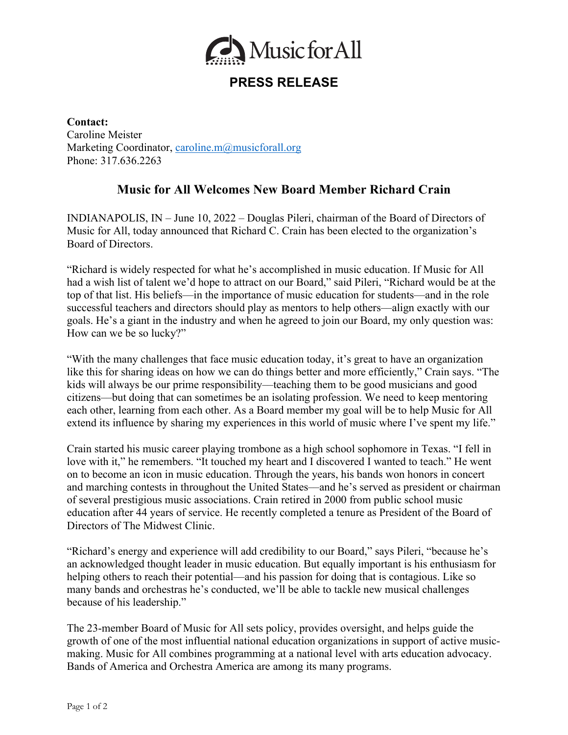

## **PRESS RELEASE**

**Contact:** Caroline Meister Marketing Coordinator, caroline.m@musicforall.org Phone: 317.636.2263

## **Music for All Welcomes New Board Member Richard Crain**

INDIANAPOLIS, IN – June 10, 2022 – Douglas Pileri, chairman of the Board of Directors of Music for All, today announced that Richard C. Crain has been elected to the organization's Board of Directors.

"Richard is widely respected for what he's accomplished in music education. If Music for All had a wish list of talent we'd hope to attract on our Board," said Pileri, "Richard would be at the top of that list. His beliefs––in the importance of music education for students––and in the role successful teachers and directors should play as mentors to help others––align exactly with our goals. He's a giant in the industry and when he agreed to join our Board, my only question was: How can we be so lucky?"

"With the many challenges that face music education today, it's great to have an organization like this for sharing ideas on how we can do things better and more efficiently," Crain says. "The kids will always be our prime responsibility—teaching them to be good musicians and good citizens––but doing that can sometimes be an isolating profession. We need to keep mentoring each other, learning from each other. As a Board member my goal will be to help Music for All extend its influence by sharing my experiences in this world of music where I've spent my life."

Crain started his music career playing trombone as a high school sophomore in Texas. "I fell in love with it," he remembers. "It touched my heart and I discovered I wanted to teach." He went on to become an icon in music education. Through the years, his bands won honors in concert and marching contests in throughout the United States––and he's served as president or chairman of several prestigious music associations. Crain retired in 2000 from public school music education after 44 years of service. He recently completed a tenure as President of the Board of Directors of The Midwest Clinic.

"Richard's energy and experience will add credibility to our Board," says Pileri, "because he's an acknowledged thought leader in music education. But equally important is his enthusiasm for helping others to reach their potential—and his passion for doing that is contagious. Like so many bands and orchestras he's conducted, we'll be able to tackle new musical challenges because of his leadership."

The 23-member Board of Music for All sets policy, provides oversight, and helps guide the growth of one of the most influential national education organizations in support of active musicmaking. Music for All combines programming at a national level with arts education advocacy. Bands of America and Orchestra America are among its many programs.